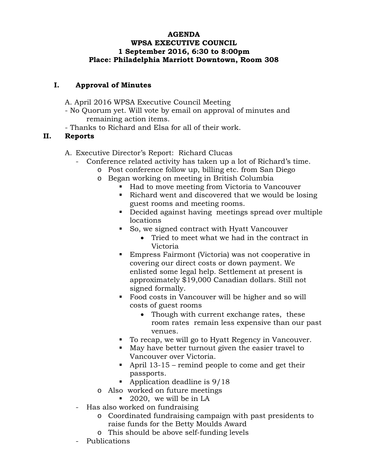## **AGENDA WPSA EXECUTIVE COUNCIL 1 September 2016, 6:30 to 8:00pm Place: Philadelphia Marriott Downtown, Room 308**

## **I. Approval of Minutes**

A. April 2016 WPSA Executive Council Meeting

- No Quorum yet. Will vote by email on approval of minutes and remaining action items.
- Thanks to Richard and Elsa for all of their work.

## **II. Reports**

- A. Executive Director's Report: Richard Clucas
	- Conference related activity has taken up a lot of Richard's time.
		- o Post conference follow up, billing etc. from San Diego
		- o Began working on meeting in British Columbia
			- Had to move meeting from Victoria to Vancouver
			- Richard went and discovered that we would be losing guest rooms and meeting rooms.
			- Decided against having meetings spread over multiple locations
			- So, we signed contract with Hyatt Vancouver
				- Tried to meet what we had in the contract in Victoria
			- Empress Fairmont (Victoria) was not cooperative in covering our direct costs or down payment. We enlisted some legal help. Settlement at present is approximately \$19,000 Canadian dollars. Still not signed formally.
			- Food costs in Vancouver will be higher and so will costs of guest rooms
				- Though with current exchange rates, these room rates remain less expensive than our past venues.
			- To recap, we will go to Hyatt Regency in Vancouver.
			- May have better turnout given the easier travel to Vancouver over Victoria.
			- April  $13-15$  remind people to come and get their passports.
			- Application deadline is  $9/18$
		- o Also worked on future meetings
			- 2020, we will be in LA
	- Has also worked on fundraising
		- o Coordinated fundraising campaign with past presidents to raise funds for the Betty Moulds Award
		- o This should be above self-funding levels
	- Publications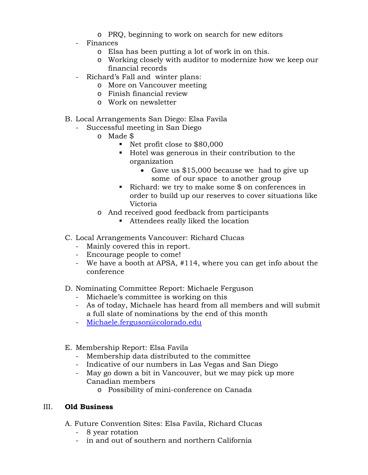- o PRQ, beginning to work on search for new editors
- Finances
	- o Elsa has been putting a lot of work in on this.
	- o Working closely with auditor to modernize how we keep our financial records
- Richard's Fall and winter plans:
	- o More on Vancouver meeting
	- o Finish financial review
	- o Work on newsletter
- B. Local Arrangements San Diego: Elsa Favila
	- Successful meeting in San Diego
		- o Made \$
			- Net profit close to \$80,000
			- Hotel was generous in their contribution to the organization
				- Gave us \$15,000 because we had to give up some of our space to another group
			- Richard: we try to make some  $\frac{1}{2}$  on conferences in order to build up our reserves to cover situations like Victoria
		- o And received good feedback from participants
			- Attendees really liked the location
- C. Local Arrangements Vancouver: Richard Clucas
	- Mainly covered this in report.
	- Encourage people to come!
	- We have a booth at APSA, #114, where you can get info about the conference
- D. Nominating Committee Report: Michaele Ferguson
	- Michaele's committee is working on this
	- As of today, Michaele has heard from all members and will submit a full slate of nominations by the end of this month
	- [Michaele.ferguson@colorado.edu](mailto:Michaele.ferguson@colorado.edu)
- E. Membership Report: Elsa Favila
	- Membership data distributed to the committee
	- Indicative of our numbers in Las Vegas and San Diego
	- May go down a bit in Vancouver, but we may pick up more Canadian members
		- o Possibility of mini-conference on Canada

## III. **Old Business**

- A. Future Convention Sites: Elsa Favila, Richard Clucas
	- 8 year rotation
	- in and out of southern and northern California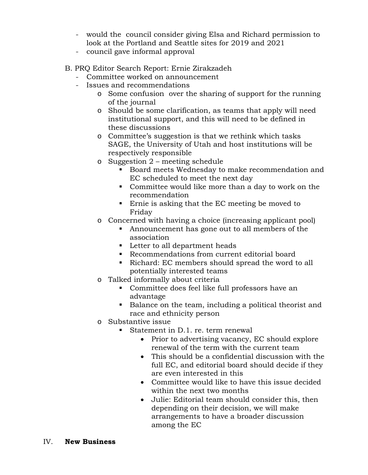- would the council consider giving Elsa and Richard permission to look at the Portland and Seattle sites for 2019 and 2021
- council gave informal approval
- B. PRQ Editor Search Report: Ernie Zirakzadeh
	- Committee worked on announcement
	- Issues and recommendations
		- o Some confusion over the sharing of support for the running of the journal
		- o Should be some clarification, as teams that apply will need institutional support, and this will need to be defined in these discussions
		- o Committee's suggestion is that we rethink which tasks SAGE, the University of Utah and host institutions will be respectively responsible
		- o Suggestion 2 meeting schedule
			- Board meets Wednesday to make recommendation and EC scheduled to meet the next day
			- Committee would like more than a day to work on the recommendation
			- **Example 1** Ernie is asking that the EC meeting be moved to Friday
		- o Concerned with having a choice (increasing applicant pool)
			- Announcement has gone out to all members of the association
			- **Letter to all department heads**
			- Recommendations from current editorial board
			- Richard: EC members should spread the word to all potentially interested teams
		- o Talked informally about criteria
			- Committee does feel like full professors have an advantage
			- Balance on the team, including a political theorist and race and ethnicity person
		- o Substantive issue
			- Statement in D.1. re. term renewal
				- Prior to advertising vacancy, EC should explore renewal of the term with the current team
				- This should be a confidential discussion with the full EC, and editorial board should decide if they are even interested in this
				- Committee would like to have this issue decided within the next two months
				- Julie: Editorial team should consider this, then depending on their decision, we will make arrangements to have a broader discussion among the EC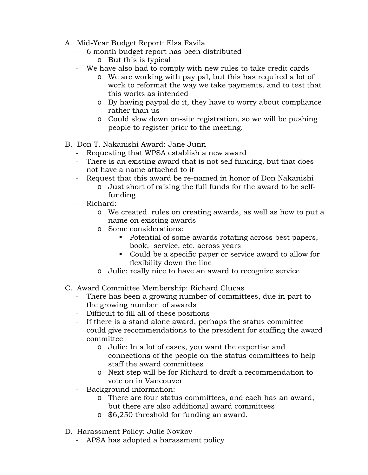- A. Mid-Year Budget Report: Elsa Favila
	- 6 month budget report has been distributed o But this is typical
	- We have also had to comply with new rules to take credit cards
		- o We are working with pay pal, but this has required a lot of work to reformat the way we take payments, and to test that this works as intended
		- o By having paypal do it, they have to worry about compliance rather than us
		- o Could slow down on-site registration, so we will be pushing people to register prior to the meeting.
- B. Don T. Nakanishi Award: Jane Junn
	- Requesting that WPSA establish a new award
	- There is an existing award that is not self funding, but that does not have a name attached to it
	- Request that this award be re-named in honor of Don Nakanishi
		- o Just short of raising the full funds for the award to be selffunding
	- Richard:
		- o We created rules on creating awards, as well as how to put a name on existing awards
		- o Some considerations:
			- Potential of some awards rotating across best papers, book, service, etc. across years
			- Could be a specific paper or service award to allow for flexibility down the line
		- o Julie: really nice to have an award to recognize service
- C. Award Committee Membership: Richard Clucas
	- There has been a growing number of committees, due in part to the growing number of awards
	- Difficult to fill all of these positions
	- If there is a stand alone award, perhaps the status committee could give recommendations to the president for staffing the award committee
		- o Julie: In a lot of cases, you want the expertise and connections of the people on the status committees to help staff the award committees
		- o Next step will be for Richard to draft a recommendation to vote on in Vancouver
	- Background information:
		- o There are four status committees, and each has an award, but there are also additional award committees
		- o \$6,250 threshold for funding an award.
- D. Harassment Policy: Julie Novkov
	- APSA has adopted a harassment policy